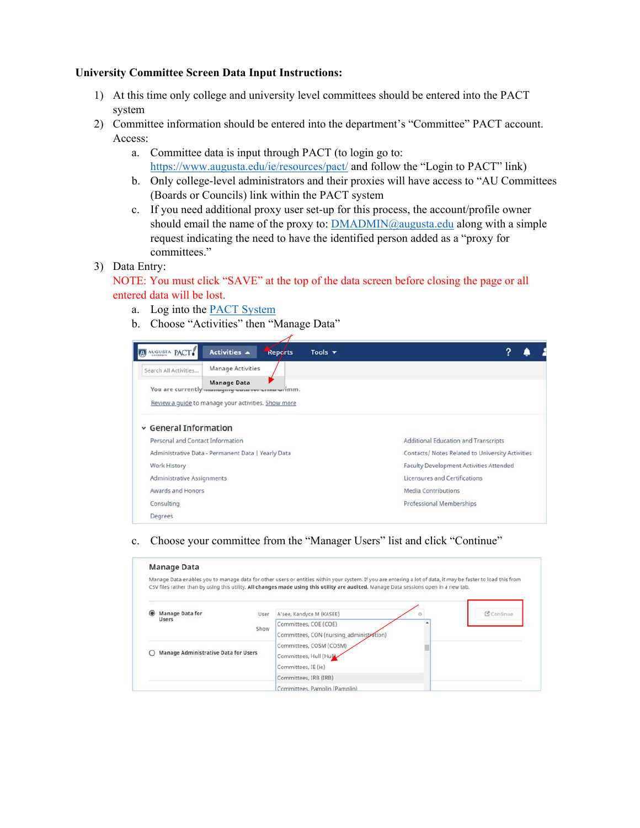## **University Committee Screen Data Input Instructions:**

- 1) At this time only college and university level committees should be entered into the PACT system
- 2) Committee information should be entered into the department's "Committee" PACT account. Access:
	- a. Committee data is input through PACT (to login go to: https://www.augusta.edu/ie/resources/pact/ and follow the "Login to PACT" link)
	- b. Only college-level administrators and their proxies will have access to "AU Committees (Boards or Councils) link within the PACT system
	- c. If you need additional proxy user set-up for this process, the account/profile owner should email the name of the proxy to:  $\overline{\text{DMADMIN}(a)}$  augusta.edu along with a simple request indicating the need to have the identified person added as a "proxy for committees."
- 3) Data Entry:
	- NOTE: You must click "SAVE" at the top of the data screen before closing the page or all entered data will be lost.
		- a. Log into the PACT System
		- b. Choose "Activities" then "Manage Data"

| AUGUSTA PACT                                       | Activities A                                                            | Reports | Tools $\blacktriangledown$                       |                                      |  |
|----------------------------------------------------|-------------------------------------------------------------------------|---------|--------------------------------------------------|--------------------------------------|--|
| Search All Activities                              | Manage Activities                                                       |         |                                                  |                                      |  |
|                                                    | <b>Manage Data</b><br>You are currently managing wasa recurrence wilmm. |         |                                                  |                                      |  |
|                                                    | Review a quide to manage your activities. Show more                     |         |                                                  |                                      |  |
| $\vee$ General Information                         |                                                                         |         |                                                  |                                      |  |
| Personal and Contact Information                   |                                                                         |         |                                                  | Additional Education and Transcripts |  |
| Administrative Data - Permanent Data   Yearly Data |                                                                         |         | Contacts/ Notes Related to University Activities |                                      |  |
| Work History                                       |                                                                         |         | Faculty Development Activities Attended          |                                      |  |
| Administrative Assignments                         |                                                                         |         | Licensures and Certifications                    |                                      |  |
| Awards and Honors                                  |                                                                         |         |                                                  | Media Contributions                  |  |
| Consulting                                         |                                                                         |         |                                                  | <b>Professional Memberships</b>      |  |
| Degrees                                            |                                                                         |         |                                                  |                                      |  |

## c. Choose your committee from the "Manager Users" list and click "Continue"

| <b>Manage Data</b>                          |      |                                                                                                                                                                                                                                                                                                       |            |
|---------------------------------------------|------|-------------------------------------------------------------------------------------------------------------------------------------------------------------------------------------------------------------------------------------------------------------------------------------------------------|------------|
|                                             |      | Manage Data enables you to manage data for other users or entities within your system. If you are entering a lot of data, it may be faster to load this from<br>CSV files rather than by using this utility. All changes made using this utility are audited. Manage Data sessions open in a new tab. |            |
| Manage Data for                             | User | A'see, Kandyce M (KASEE)<br>G                                                                                                                                                                                                                                                                         | C Continue |
| <b>Users</b>                                | Show | Committees, COE (COE)                                                                                                                                                                                                                                                                                 |            |
|                                             |      | Committees, CON (nursing_administration)                                                                                                                                                                                                                                                              |            |
|                                             |      | Committees, COSM (COSM)                                                                                                                                                                                                                                                                               |            |
| <b>Manage Administrative Data for Users</b> |      | Committees, Hull (Hulk)                                                                                                                                                                                                                                                                               |            |
|                                             |      | Committees, IE (ie)                                                                                                                                                                                                                                                                                   |            |
|                                             |      | Committees, IRB (IRB)                                                                                                                                                                                                                                                                                 |            |
|                                             |      | Committees, Pamplin (Pamplin)                                                                                                                                                                                                                                                                         |            |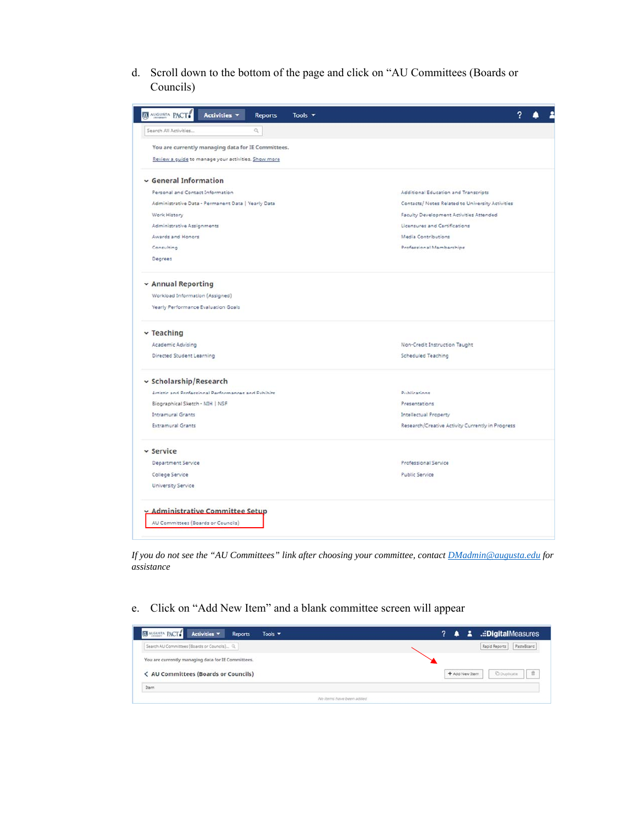d. Scroll down to the bottom of the page and click on "AU Committees (Boards or Councils)

| <b>ET AUGUSTA PACT</b><br>Activities v<br><b>Reports</b><br>Tools $\blacktriangledown$<br>$\alpha$<br>Search All Activities |                                                  |  |  |  |  |  |  |
|-----------------------------------------------------------------------------------------------------------------------------|--------------------------------------------------|--|--|--|--|--|--|
| You are currently managing data for IE Committees.<br>Review a guide to manage your activities. Show more                   |                                                  |  |  |  |  |  |  |
| v General Information                                                                                                       |                                                  |  |  |  |  |  |  |
| Personal and Contact Information                                                                                            | Additional Education and Transcripts             |  |  |  |  |  |  |
| Administrative Data - Permanent Data   Yearly Data                                                                          | Contacts/ Notes Related to University Activities |  |  |  |  |  |  |
| Work History                                                                                                                | Faculty Development Activities Attended          |  |  |  |  |  |  |
| Administrative Assignments                                                                                                  | Licensures and Certifications                    |  |  |  |  |  |  |
| Awards and Honors                                                                                                           | Media Contributions                              |  |  |  |  |  |  |
| Consulting                                                                                                                  | Professional Memberships                         |  |  |  |  |  |  |
| Degrees                                                                                                                     |                                                  |  |  |  |  |  |  |
| v Annual Reporting                                                                                                          |                                                  |  |  |  |  |  |  |
| Workload Information (Assigned)                                                                                             |                                                  |  |  |  |  |  |  |
| Yearly Performance Evaluation Goals                                                                                         |                                                  |  |  |  |  |  |  |
| $\sim$ Teaching                                                                                                             |                                                  |  |  |  |  |  |  |
| Academic Advising                                                                                                           | Non-Credit Instruction Taught                    |  |  |  |  |  |  |
| Directed Student Learning                                                                                                   | Scheduled Teaching                               |  |  |  |  |  |  |
| v Scholarship/Research                                                                                                      |                                                  |  |  |  |  |  |  |
| Artistic and Professional Performances and Exhibits                                                                         | Publications                                     |  |  |  |  |  |  |
| Biographical Sketch - NIH   NSF                                                                                             | Presentations                                    |  |  |  |  |  |  |
| <b>Intramural Grants</b>                                                                                                    | Intellectual Property                            |  |  |  |  |  |  |
| <b>Extramural Grants</b>                                                                                                    | Research/Creative Activity Currently in Progress |  |  |  |  |  |  |
| v Service                                                                                                                   |                                                  |  |  |  |  |  |  |
| Department Service                                                                                                          | Professional Service                             |  |  |  |  |  |  |
| College Service                                                                                                             | Public Service                                   |  |  |  |  |  |  |
| <b>University Service</b>                                                                                                   |                                                  |  |  |  |  |  |  |
| v Administrative Committee Setup<br>AU Committees (Boards or Councils)                                                      |                                                  |  |  |  |  |  |  |

*If you do not see the "AU Committees" link after choosing your committee, contact DMadmin@augusta.edu for assistance* 

e. Click on "Add New Item" and a blank committee screen will appear

| <b>EX AUGUSTA PACT.</b> Activities<br><b>Reports</b><br>Tools $\blacktriangledown$ | <b>E</b> .::DigitalMeasures<br>$2 \bullet$ |
|------------------------------------------------------------------------------------|--------------------------------------------|
| Search AU Committees (Boards or Councils) Q.                                       | PasteBoard<br>Rapid Reports                |
| You are currently managing data for IE Committees.                                 |                                            |
| < AU Committees (Boards or Councils)                                               | C Duplicate<br>頂<br>+ Add New Item         |
| Item                                                                               |                                            |
| No items have been added                                                           |                                            |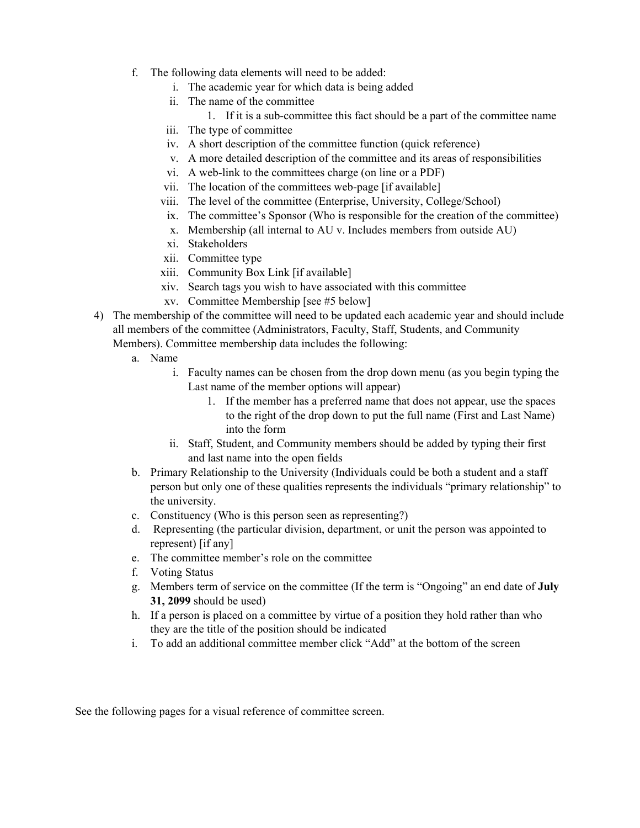- f. The following data elements will need to be added:
	- i. The academic year for which data is being added
	- ii. The name of the committee
		- 1. If it is a sub-committee this fact should be a part of the committee name
	- iii. The type of committee
	- iv. A short description of the committee function (quick reference)
	- v. A more detailed description of the committee and its areas of responsibilities
	- vi. A web-link to the committees charge (on line or a PDF)
	- vii. The location of the committees web-page [if available]
	- viii. The level of the committee (Enterprise, University, College/School)
	- ix. The committee's Sponsor (Who is responsible for the creation of the committee)
	- x. Membership (all internal to AU v. Includes members from outside AU)
	- xi. Stakeholders
	- xii. Committee type
	- xiii. Community Box Link [if available]
	- xiv. Search tags you wish to have associated with this committee
	- xv. Committee Membership [see #5 below]
- 4) The membership of the committee will need to be updated each academic year and should include all members of the committee (Administrators, Faculty, Staff, Students, and Community Members). Committee membership data includes the following:
	- a. Name
		- i. Faculty names can be chosen from the drop down menu (as you begin typing the Last name of the member options will appear)
			- 1. If the member has a preferred name that does not appear, use the spaces to the right of the drop down to put the full name (First and Last Name) into the form
		- ii. Staff, Student, and Community members should be added by typing their first and last name into the open fields
	- b. Primary Relationship to the University (Individuals could be both a student and a staff person but only one of these qualities represents the individuals "primary relationship" to the university.
	- c. Constituency (Who is this person seen as representing?)
	- d. Representing (the particular division, department, or unit the person was appointed to represent) [if any]
	- e. The committee member's role on the committee
	- f. Voting Status
	- g. Members term of service on the committee (If the term is "Ongoing" an end date of **July 31, 2099** should be used)
	- h. If a person is placed on a committee by virtue of a position they hold rather than who they are the title of the position should be indicated
	- i. To add an additional committee member click "Add" at the bottom of the screen

See the following pages for a visual reference of committee screen.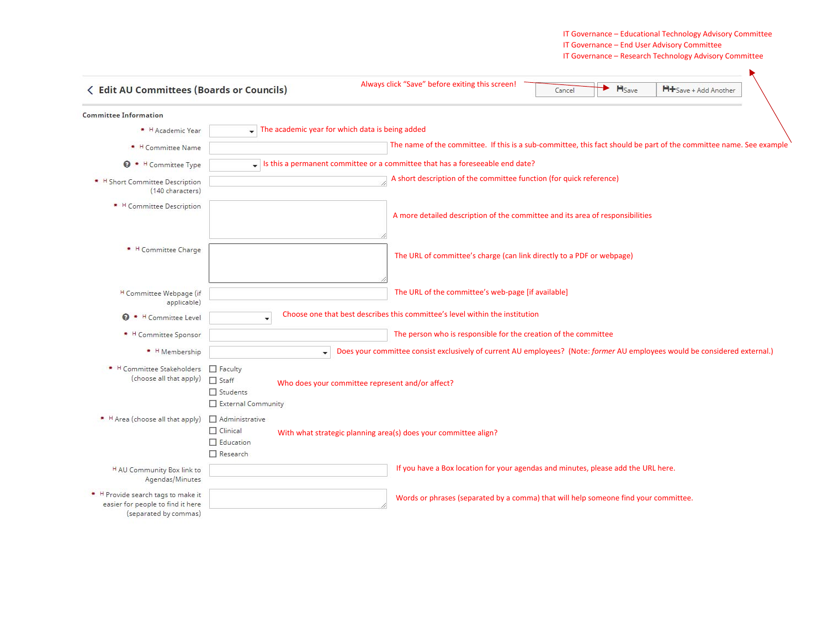## IT Governance – Educational Technology Advisory Committee IT Governance – End User Advisory Committee IT Governance – Research Technology Advisory Committee

| <b>&lt; Edit AU Committees (Boards or Councils)</b>                                              |                                                                                                                                      | Always click "Save" before exiting this screen!                                                                    | Cancel | H <sub>Save</sub> | H+Save + Add Another |
|--------------------------------------------------------------------------------------------------|--------------------------------------------------------------------------------------------------------------------------------------|--------------------------------------------------------------------------------------------------------------------|--------|-------------------|----------------------|
| <b>Committee Information</b>                                                                     |                                                                                                                                      |                                                                                                                    |        |                   |                      |
| * H Academic Year                                                                                |                                                                                                                                      | The academic year for which data is being added                                                                    |        |                   |                      |
| * H Committee Name                                                                               |                                                                                                                                      | The name of the committee. If this is a sub-committee, this fact should be part of the committee name. See example |        |                   |                      |
| $\Theta$ * H<br>Committee Type                                                                   |                                                                                                                                      | Is this a permanent committee or a committee that has a foreseeable end date?                                      |        |                   |                      |
| <sup>H</sup> Short Committee Description<br>(140 characters)                                     |                                                                                                                                      | A short description of the committee function (for quick reference)                                                |        |                   |                      |
| * H Committee Description                                                                        |                                                                                                                                      | A more detailed description of the committee and its area of responsibilities                                      |        |                   |                      |
| * H Committee Charge                                                                             |                                                                                                                                      | The URL of committee's charge (can link directly to a PDF or webpage)                                              |        |                   |                      |
| H Committee Webpage (if<br>applicable)                                                           |                                                                                                                                      | The URL of the committee's web-page [if available]                                                                 |        |                   |                      |
| * H Committee Level                                                                              | $\overline{\phantom{a}}$                                                                                                             | Choose one that best describes this committee's level within the institution                                       |        |                   |                      |
| * H Committee Sponsor                                                                            |                                                                                                                                      | The person who is responsible for the creation of the committee                                                    |        |                   |                      |
| * H Membership                                                                                   | Does your committee consist exclusively of current AU employees? (Note: former AU employees would be considered external.)<br>٠      |                                                                                                                    |        |                   |                      |
| * H Committee Stakeholders<br>(choose all that apply)                                            | Faculty<br>$\Box$ Staff<br>Who does your committee represent and/or affect?<br>$\Box$ Students<br>External Community                 |                                                                                                                    |        |                   |                      |
| * H Area (choose all that apply)                                                                 | Administrative<br>$\Box$ Clinical<br>With what strategic planning area(s) does your committee align?<br>$\Box$ Education<br>Research |                                                                                                                    |        |                   |                      |
| H AU Community Box link to<br>Agendas/Minutes                                                    |                                                                                                                                      | If you have a Box location for your agendas and minutes, please add the URL here.                                  |        |                   |                      |
| * H Provide search tags to make it<br>easier for people to find it here<br>(separated by commas) |                                                                                                                                      | Words or phrases (separated by a comma) that will help someone find your committee.                                |        |                   |                      |